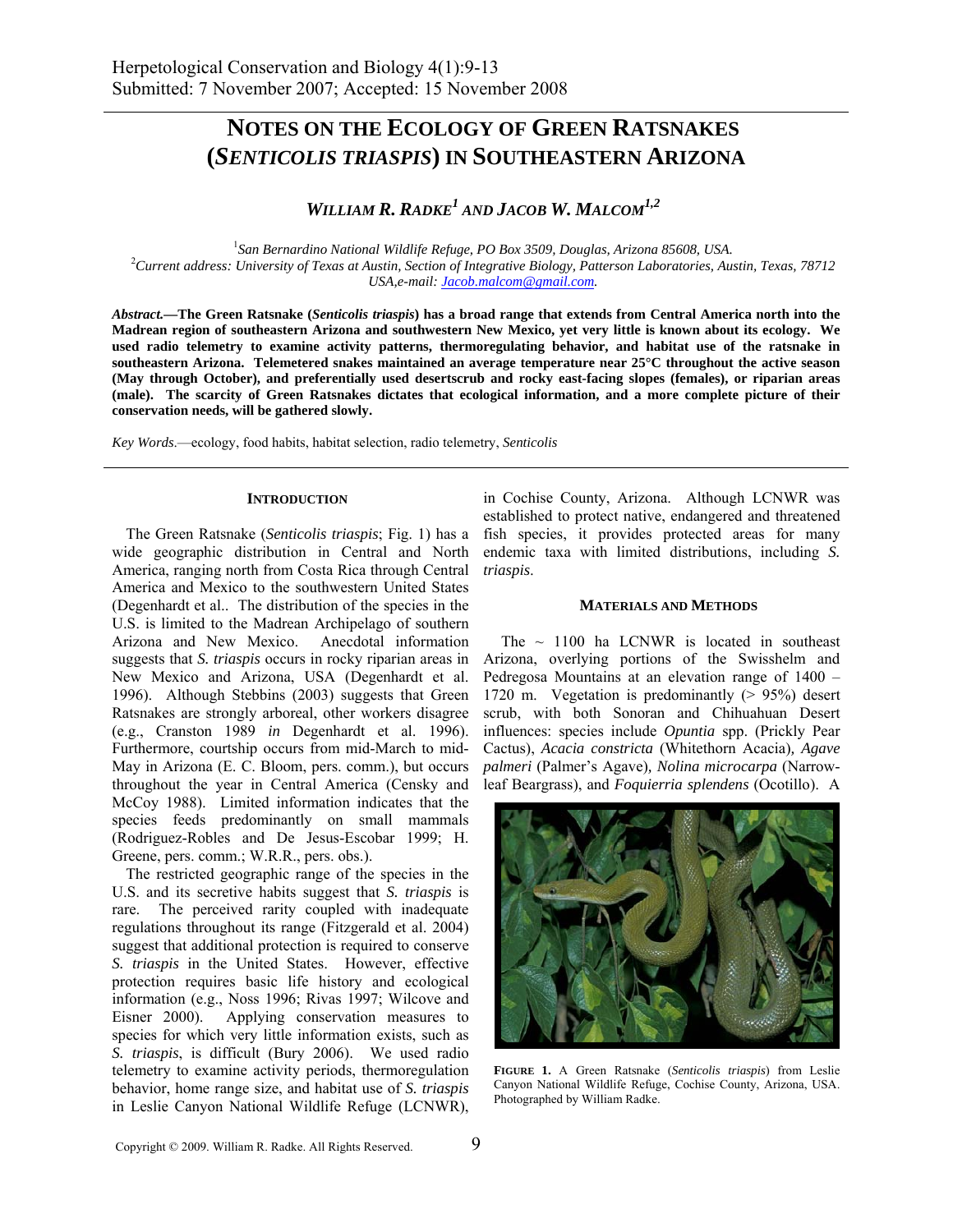# **NOTES ON THE ECOLOGY OF GREEN RATSNAKES (***SENTICOLIS TRIASPIS***) IN SOUTHEASTERN ARIZONA**

*WILLIAM R. RADKE1 AND JACOB W. MALCOM1,2*

<sup>1</sup> San Bernardino National Wildlife Refuge, PO Box 3509, Douglas, Arizona 85608, USA.<br><sup>2</sup> Cumant address: University of Tayas at Austin, Section of Integrative Biology, Batterson Laboratorias, Aust *Current address: University of Texas at Austin, Section of Integrative Biology, Patterson Laboratories, Austin, Texas, 78712 USA,e-mail: Jacob.malcom@gmail.com.* 

*Abstract.—***The Green Ratsnake (***Senticolis triaspis***) has a broad range that extends from Central America north into the Madrean region of southeastern Arizona and southwestern New Mexico, yet very little is known about its ecology. We used radio telemetry to examine activity patterns, thermoregulating behavior, and habitat use of the ratsnake in southeastern Arizona. Telemetered snakes maintained an average temperature near 25°C throughout the active season (May through October), and preferentially used desertscrub and rocky east-facing slopes (females), or riparian areas (male). The scarcity of Green Ratsnakes dictates that ecological information, and a more complete picture of their conservation needs, will be gathered slowly.** 

*Key Words*.—ecology, food habits, habitat selection, radio telemetry, *Senticolis* 

### **INTRODUCTION**

The Green Ratsnake (*Senticolis triaspis*; Fig. 1) has a wide geographic distribution in Central and North America, ranging north from Costa Rica through Central America and Mexico to the southwestern United States (Degenhardt et al.. The distribution of the species in the U.S. is limited to the Madrean Archipelago of southern Arizona and New Mexico. Anecdotal information suggests that *S. triaspis* occurs in rocky riparian areas in New Mexico and Arizona, USA (Degenhardt et al. 1996). Although Stebbins (2003) suggests that Green Ratsnakes are strongly arboreal, other workers disagree (e.g., Cranston 1989 *in* Degenhardt et al. 1996). Furthermore, courtship occurs from mid-March to mid-May in Arizona (E. C. Bloom, pers. comm.), but occurs throughout the year in Central America (Censky and McCoy 1988). Limited information indicates that the species feeds predominantly on small mammals (Rodriguez-Robles and De Jesus-Escobar 1999; H. Greene, pers. comm.; W.R.R., pers. obs.).

The restricted geographic range of the species in the U.S. and its secretive habits suggest that *S. triaspis* is rare. The perceived rarity coupled with inadequate regulations throughout its range (Fitzgerald et al. 2004) suggest that additional protection is required to conserve *S. triaspis* in the United States. However, effective protection requires basic life history and ecological information (e.g., Noss 1996; Rivas 1997; Wilcove and Eisner 2000). Applying conservation measures to species for which very little information exists, such as *S. triaspis*, is difficult (Bury 2006). We used radio telemetry to examine activity periods, thermoregulation behavior, home range size, and habitat use of *S. triaspis* in Leslie Canyon National Wildlife Refuge (LCNWR),

in Cochise County, Arizona. Although LCNWR was established to protect native, endangered and threatened fish species, it provides protected areas for many endemic taxa with limited distributions, including *S. triaspis*.

#### **MATERIALS AND METHODS**

The  $\sim$  1100 ha LCNWR is located in southeast Arizona, overlying portions of the Swisshelm and Pedregosa Mountains at an elevation range of 1400 – 1720 m. Vegetation is predominantly (> 95%) desert scrub, with both Sonoran and Chihuahuan Desert influences: species include *Opuntia* spp. (Prickly Pear Cactus), *Acacia constricta* (Whitethorn Acacia)*, Agave palmeri* (Palmer's Agave)*, Nolina microcarpa* (Narrowleaf Beargrass), and *Foquierria splendens* (Ocotillo). A



**FIGURE 1.** A Green Ratsnake (*Senticolis triaspis*) from Leslie Canyon National Wildlife Refuge, Cochise County, Arizona, USA. Photographed by William Radke.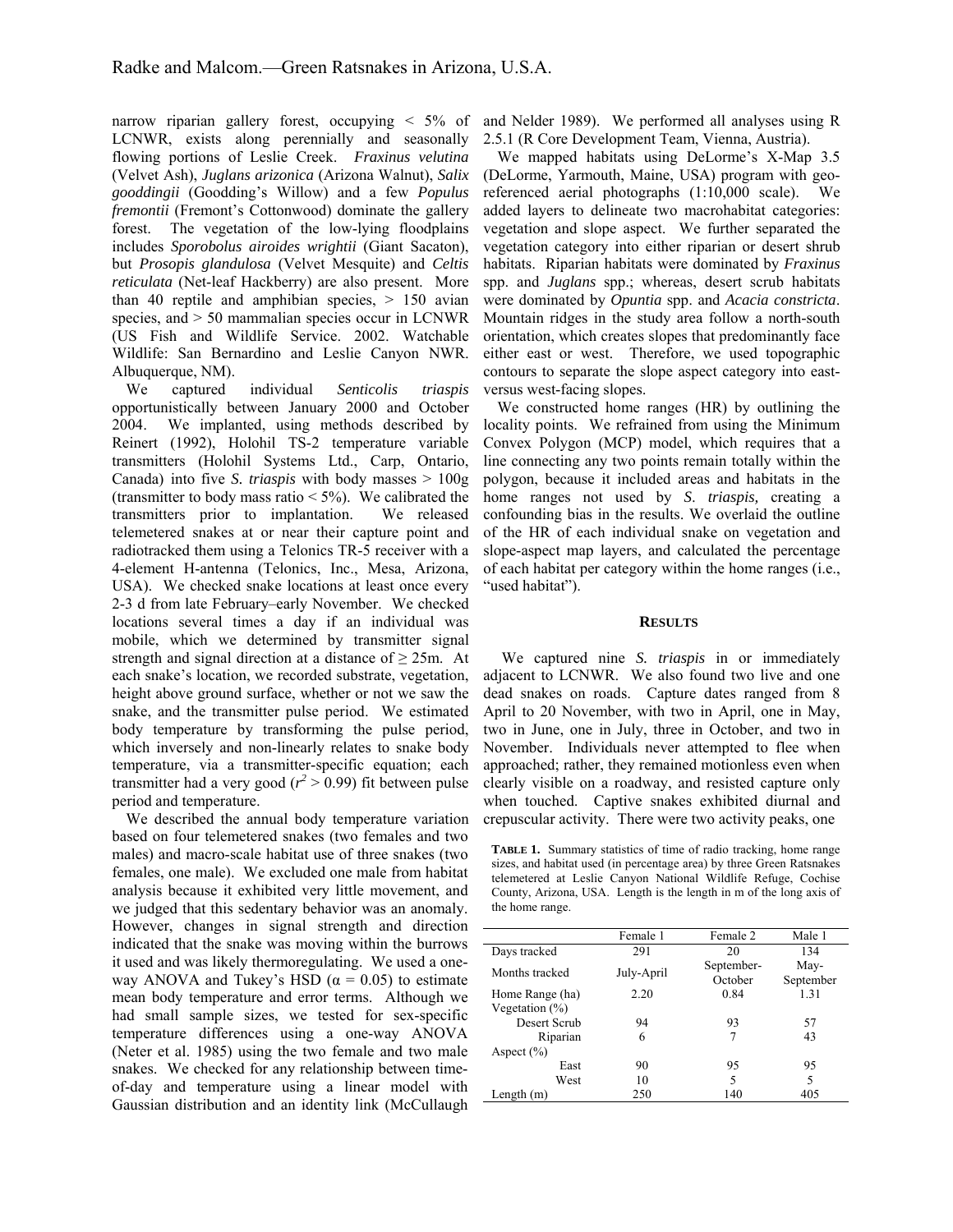narrow riparian gallery forest, occupying < 5% of LCNWR, exists along perennially and seasonally flowing portions of Leslie Creek. *Fraxinus velutina*  (Velvet Ash), *Juglans arizonica* (Arizona Walnut), *Salix gooddingii* (Goodding's Willow) and a few *Populus fremontii* (Fremont's Cottonwood) dominate the gallery forest. The vegetation of the low-lying floodplains includes *Sporobolus airoides wrightii* (Giant Sacaton), but *Prosopis glandulosa* (Velvet Mesquite) and *Celtis reticulata* (Net-leaf Hackberry) are also present. More than 40 reptile and amphibian species,  $> 150$  avian species, and > 50 mammalian species occur in LCNWR (US Fish and Wildlife Service. 2002. Watchable Wildlife: San Bernardino and Leslie Canyon NWR. Albuquerque, NM).

We captured individual *Senticolis triaspis* opportunistically between January 2000 and October 2004. We implanted, using methods described by Reinert (1992), Holohil TS-2 temperature variable transmitters (Holohil Systems Ltd., Carp, Ontario, Canada) into five *S. triaspis* with body masses > 100g (transmitter to body mass ratio  $\leq 5\%$ ). We calibrated the transmitters prior to implantation. We released telemetered snakes at or near their capture point and radiotracked them using a Telonics TR-5 receiver with a 4-element H-antenna (Telonics, Inc., Mesa, Arizona, USA). We checked snake locations at least once every 2-3 d from late February–early November. We checked locations several times a day if an individual was mobile, which we determined by transmitter signal strength and signal direction at a distance of  $\geq$  25m. At each snake's location, we recorded substrate, vegetation, height above ground surface, whether or not we saw the snake, and the transmitter pulse period. We estimated body temperature by transforming the pulse period, which inversely and non-linearly relates to snake body temperature, via a transmitter-specific equation; each transmitter had a very good ( $r^2 > 0.99$ ) fit between pulse period and temperature.

We described the annual body temperature variation based on four telemetered snakes (two females and two males) and macro-scale habitat use of three snakes (two females, one male). We excluded one male from habitat analysis because it exhibited very little movement, and we judged that this sedentary behavior was an anomaly. However, changes in signal strength and direction indicated that the snake was moving within the burrows it used and was likely thermoregulating. We used a oneway ANOVA and Tukey's HSD ( $\alpha$  = 0.05) to estimate mean body temperature and error terms. Although we had small sample sizes, we tested for sex-specific temperature differences using a one-way ANOVA (Neter et al. 1985) using the two female and two male snakes. We checked for any relationship between timeof-day and temperature using a linear model with Gaussian distribution and an identity link (McCullaugh

and Nelder 1989). We performed all analyses using R 2.5.1 (R Core Development Team, Vienna, Austria).

We mapped habitats using DeLorme's X-Map 3.5 (DeLorme, Yarmouth, Maine, USA) program with georeferenced aerial photographs (1:10,000 scale). We added layers to delineate two macrohabitat categories: vegetation and slope aspect. We further separated the vegetation category into either riparian or desert shrub habitats. Riparian habitats were dominated by *Fraxinus* spp. and *Juglans* spp.; whereas, desert scrub habitats were dominated by *Opuntia* spp. and *Acacia constricta*. Mountain ridges in the study area follow a north-south orientation, which creates slopes that predominantly face either east or west. Therefore, we used topographic contours to separate the slope aspect category into eastversus west-facing slopes.

We constructed home ranges (HR) by outlining the locality points. We refrained from using the Minimum Convex Polygon (MCP) model, which requires that a line connecting any two points remain totally within the polygon, because it included areas and habitats in the home ranges not used by *S*. *triaspis,* creating a confounding bias in the results. We overlaid the outline of the HR of each individual snake on vegetation and slope-aspect map layers, and calculated the percentage of each habitat per category within the home ranges (i.e., "used habitat").

#### **RESULTS**

 We captured nine *S. triaspis* in or immediately adjacent to LCNWR. We also found two live and one dead snakes on roads. Capture dates ranged from 8 April to 20 November, with two in April, one in May, two in June, one in July, three in October, and two in November. Individuals never attempted to flee when approached; rather, they remained motionless even when clearly visible on a roadway, and resisted capture only when touched. Captive snakes exhibited diurnal and crepuscular activity. There were two activity peaks, one

**TABLE 1.** Summary statistics of time of radio tracking, home range sizes, and habitat used (in percentage area) by three Green Ratsnakes telemetered at Leslie Canyon National Wildlife Refuge, Cochise County, Arizona, USA. Length is the length in m of the long axis of the home range.

|                   | Female 1   | Female 2   | Male 1    |
|-------------------|------------|------------|-----------|
| Days tracked      | 291        | 20         | 134       |
| Months tracked    | July-April | September- | May-      |
|                   |            | October    | September |
| Home Range (ha)   | 2.20       | 0.84       | 1.31      |
| Vegetation $(\%)$ |            |            |           |
| Desert Scrub      | 94         | 93         | 57        |
| Riparian          | 6          |            | 43        |
| Aspect $(\% )$    |            |            |           |
| East              | 90         | 95         | 95        |
| West              | 10         | 5          | 5         |
| Length (m)        | 250        | 140        | 405       |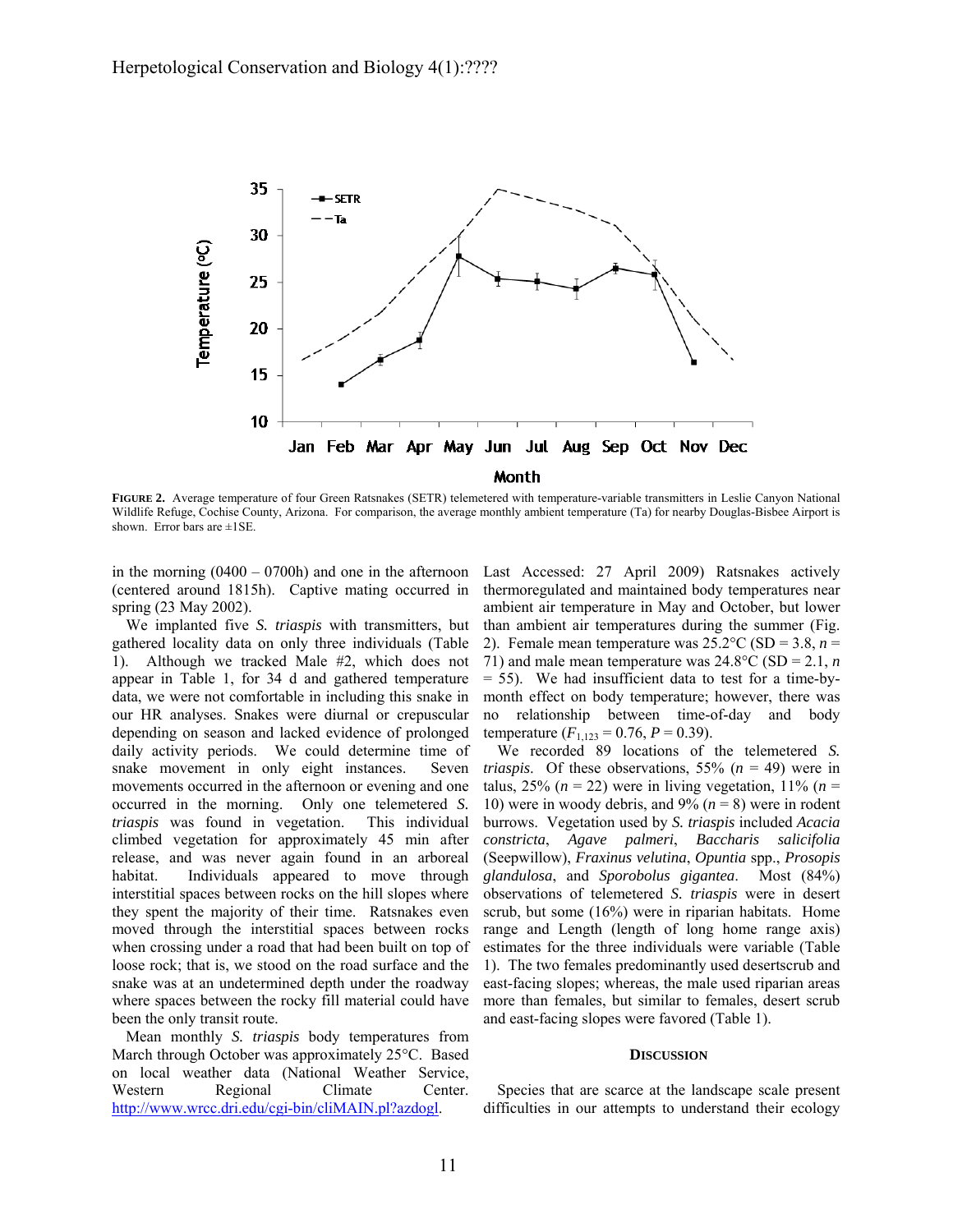

**FIGURE 2.** Average temperature of four Green Ratsnakes (SETR) telemetered with temperature-variable transmitters in Leslie Canyon National Wildlife Refuge, Cochise County, Arizona. For comparison, the average monthly ambient temperature (Ta) for nearby Douglas-Bisbee Airport is shown. Error bars are  $\pm$ 1SE.

in the morning  $(0400 - 0700h)$  and one in the afternoon (centered around 1815h). Captive mating occurred in spring (23 May 2002).

We implanted five *S. triaspis* with transmitters, but gathered locality data on only three individuals (Table 1). Although we tracked Male #2, which does not appear in Table 1, for 34 d and gathered temperature data, we were not comfortable in including this snake in our HR analyses. Snakes were diurnal or crepuscular depending on season and lacked evidence of prolonged daily activity periods. We could determine time of snake movement in only eight instances. Seven movements occurred in the afternoon or evening and one occurred in the morning. Only one telemetered *S. triaspis* was found in vegetation. This individual climbed vegetation for approximately 45 min after release, and was never again found in an arboreal habitat. Individuals appeared to move through interstitial spaces between rocks on the hill slopes where they spent the majority of their time. Ratsnakes even moved through the interstitial spaces between rocks when crossing under a road that had been built on top of loose rock; that is, we stood on the road surface and the snake was at an undetermined depth under the roadway where spaces between the rocky fill material could have been the only transit route.

Mean monthly *S. triaspis* body temperatures from March through October was approximately 25°C. Based on local weather data (National Weather Service, Western Regional Climate Center. http://www.wrcc.dri.edu/cgi-bin/cliMAIN.pl?azdogl.

Last Accessed: 27 April 2009) Ratsnakes actively thermoregulated and maintained body temperatures near ambient air temperature in May and October, but lower than ambient air temperatures during the summer (Fig. 2). Female mean temperature was  $25.2^{\circ}$ C (SD = 3.8, *n* = 71) and male mean temperature was  $24.8^{\circ}$ C (SD = 2.1, *n*  $= 55$ ). We had insufficient data to test for a time-bymonth effect on body temperature; however, there was no relationship between time-of-day and body temperature  $(F_{1,123} = 0.76, P = 0.39)$ .

We recorded 89 locations of the telemetered *S. triaspis.* Of these observations, 55%  $(n = 49)$  were in talus, 25% ( $n = 22$ ) were in living vegetation, 11% ( $n =$ 10) were in woody debris, and  $9\%$  ( $n = 8$ ) were in rodent burrows. Vegetation used by *S. triaspis* included *Acacia constricta*, *Agave palmeri*, *Baccharis salicifolia*  (Seepwillow), *Fraxinus velutina*, *Opuntia* spp., *Prosopis glandulosa*, and *Sporobolus gigantea*. Most (84%) observations of telemetered *S. triaspis* were in desert scrub, but some (16%) were in riparian habitats. Home range and Length (length of long home range axis) estimates for the three individuals were variable (Table 1). The two females predominantly used desertscrub and east-facing slopes; whereas, the male used riparian areas more than females, but similar to females, desert scrub and east-facing slopes were favored (Table 1).

#### **DISCUSSION**

Species that are scarce at the landscape scale present difficulties in our attempts to understand their ecology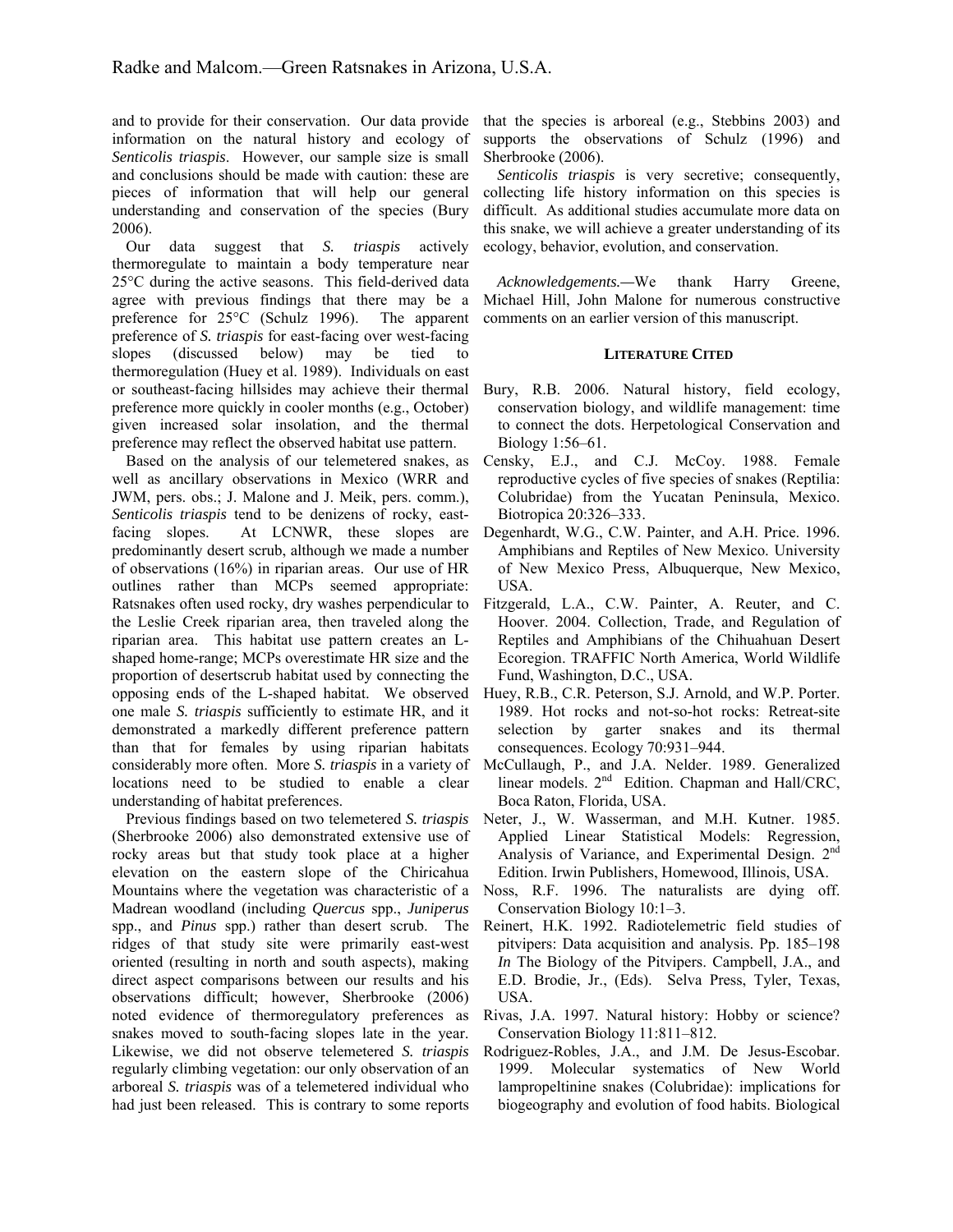and to provide for their conservation. Our data provide information on the natural history and ecology of *Senticolis triaspis*. However, our sample size is small and conclusions should be made with caution: these are pieces of information that will help our general understanding and conservation of the species (Bury 2006).

Our data suggest that *S. triaspis* actively thermoregulate to maintain a body temperature near 25°C during the active seasons. This field-derived data agree with previous findings that there may be a preference for 25°C (Schulz 1996). The apparent preference of *S. triaspis* for east-facing over west-facing slopes (discussed below) may be tied to thermoregulation (Huey et al. 1989). Individuals on east or southeast-facing hillsides may achieve their thermal preference more quickly in cooler months (e.g., October) given increased solar insolation, and the thermal preference may reflect the observed habitat use pattern.

Based on the analysis of our telemetered snakes, as well as ancillary observations in Mexico (WRR and JWM, pers. obs.; J. Malone and J. Meik, pers. comm.), *Senticolis triaspis* tend to be denizens of rocky, eastfacing slopes. At LCNWR, these slopes are predominantly desert scrub, although we made a number of observations (16%) in riparian areas. Our use of HR outlines rather than MCPs seemed appropriate: Ratsnakes often used rocky, dry washes perpendicular to the Leslie Creek riparian area, then traveled along the riparian area. This habitat use pattern creates an Lshaped home-range; MCPs overestimate HR size and the proportion of desertscrub habitat used by connecting the opposing ends of the L-shaped habitat. We observed one male *S. triaspis* sufficiently to estimate HR, and it demonstrated a markedly different preference pattern than that for females by using riparian habitats considerably more often. More *S. triaspis* in a variety of locations need to be studied to enable a clear understanding of habitat preferences.

Previous findings based on two telemetered *S. triaspis* (Sherbrooke 2006) also demonstrated extensive use of rocky areas but that study took place at a higher elevation on the eastern slope of the Chiricahua Mountains where the vegetation was characteristic of a Madrean woodland (including *Quercus* spp., *Juniperus* spp., and *Pinus* spp.) rather than desert scrub. The ridges of that study site were primarily east-west oriented (resulting in north and south aspects), making direct aspect comparisons between our results and his observations difficult; however, Sherbrooke (2006) noted evidence of thermoregulatory preferences as snakes moved to south-facing slopes late in the year. Likewise, we did not observe telemetered *S. triaspis* regularly climbing vegetation: our only observation of an arboreal *S. triaspis* was of a telemetered individual who had just been released. This is contrary to some reports

that the species is arboreal (e.g., Stebbins 2003) and supports the observations of Schulz (1996) and Sherbrooke (2006).

*Senticolis triaspis* is very secretive; consequently, collecting life history information on this species is difficult. As additional studies accumulate more data on this snake, we will achieve a greater understanding of its ecology, behavior, evolution, and conservation.

*Acknowledgements.—*We thank Harry Greene, Michael Hill, John Malone for numerous constructive comments on an earlier version of this manuscript.

## **LITERATURE CITED**

- Bury, R.B. 2006. Natural history, field ecology, conservation biology, and wildlife management: time to connect the dots. Herpetological Conservation and Biology 1:56–61.
- Censky, E.J., and C.J. McCoy. 1988. Female reproductive cycles of five species of snakes (Reptilia: Colubridae) from the Yucatan Peninsula, Mexico. Biotropica 20:326–333.
- Degenhardt, W.G., C.W. Painter, and A.H. Price. 1996. Amphibians and Reptiles of New Mexico. University of New Mexico Press, Albuquerque, New Mexico, USA.
- Fitzgerald, L.A., C.W. Painter, A. Reuter, and C. Hoover. 2004. Collection, Trade, and Regulation of Reptiles and Amphibians of the Chihuahuan Desert Ecoregion. TRAFFIC North America, World Wildlife Fund, Washington, D.C., USA.
- Huey, R.B., C.R. Peterson, S.J. Arnold, and W.P. Porter. 1989. Hot rocks and not-so-hot rocks: Retreat-site selection by garter snakes and its thermal consequences. Ecology 70:931–944.
- McCullaugh, P., and J.A. Nelder. 1989. Generalized linear models. 2<sup>nd</sup> Edition. Chapman and Hall/CRC, Boca Raton, Florida, USA.
- Neter, J., W. Wasserman, and M.H. Kutner. 1985. Applied Linear Statistical Models: Regression, Analysis of Variance, and Experimental Design. 2<sup>nd</sup> Edition. Irwin Publishers, Homewood, Illinois, USA.
- Noss, R.F. 1996. The naturalists are dying off. Conservation Biology 10:1–3.
- Reinert, H.K. 1992. Radiotelemetric field studies of pitvipers: Data acquisition and analysis. Pp. 185–198 *In* The Biology of the Pitvipers. Campbell, J.A., and E.D. Brodie, Jr., (Eds). Selva Press, Tyler, Texas, USA.
- Rivas, J.A. 1997. Natural history: Hobby or science? Conservation Biology 11:811–812.
- Rodriguez-Robles, J.A., and J.M. De Jesus-Escobar. 1999. Molecular systematics of New World lampropeltinine snakes (Colubridae): implications for biogeography and evolution of food habits. Biological